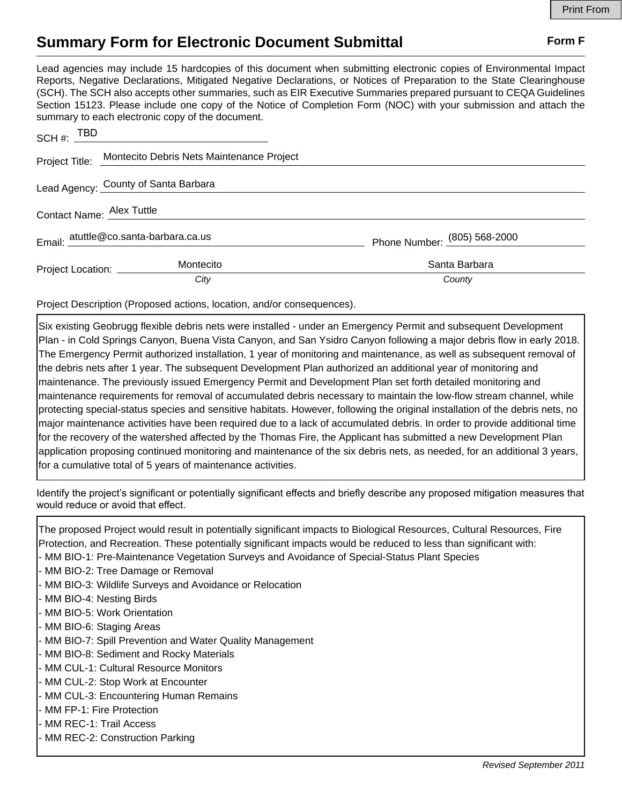## **Summary Form for Electronic Document Submittal Form F Form F**

Lead agencies may include 15 hardcopies of this document when submitting electronic copies of Environmental Impact Reports, Negative Declarations, Mitigated Negative Declarations, or Notices of Preparation to the State Clearinghouse (SCH). The SCH also accepts other summaries, such as EIR Executive Summaries prepared pursuant to CEQA Guidelines Section 15123. Please include one copy of the Notice of Completion Form (NOC) with your submission and attach the summary to each electronic copy of the document.

| SCH #: $TBD$                          |                                                          |                              |
|---------------------------------------|----------------------------------------------------------|------------------------------|
|                                       | Project Title: Montecito Debris Nets Maintenance Project |                              |
|                                       | Lead Agency: County of Santa Barbara                     |                              |
| Contact Name: Alex Tuttle             |                                                          |                              |
| Email: atuttle@co.santa-barbara.ca.us |                                                          | Phone Number: (805) 568-2000 |
| Project Location: _________           | Montecito                                                | Santa Barbara                |
|                                       | City                                                     | County                       |

Project Description (Proposed actions, location, and/or consequences).

Six existing Geobrugg flexible debris nets were installed - under an Emergency Permit and subsequent Development Plan - in Cold Springs Canyon, Buena Vista Canyon, and San Ysidro Canyon following a major debris flow in early 2018. The Emergency Permit authorized installation, 1 year of monitoring and maintenance, as well as subsequent removal of the debris nets after 1 year. The subsequent Development Plan authorized an additional year of monitoring and maintenance. The previously issued Emergency Permit and Development Plan set forth detailed monitoring and maintenance requirements for removal of accumulated debris necessary to maintain the low-flow stream channel, while protecting special-status species and sensitive habitats. However, following the original installation of the debris nets, no major maintenance activities have been required due to a lack of accumulated debris. In order to provide additional time for the recovery of the watershed affected by the Thomas Fire, the Applicant has submitted a new Development Plan application proposing continued monitoring and maintenance of the six debris nets, as needed, for an additional 3 years, for a cumulative total of 5 years of maintenance activities.

Identify the project's significant or potentially significant effects and briefly describe any proposed mitigation measures that would reduce or avoid that effect.

The proposed Project would result in potentially significant impacts to Biological Resources, Cultural Resources, Fire Protection, and Recreation. These potentially significant impacts would be reduced to less than significant with:

- MM BIO-1: Pre-Maintenance Vegetation Surveys and Avoidance of Special-Status Plant Species
- MM BIO-2: Tree Damage or Removal
- MM BIO-3: Wildlife Surveys and Avoidance or Relocation
- MM BIO-4: Nesting Birds
- MM BIO-5: Work Orientation
- MM BIO-6: Staging Areas
- MM BIO-7: Spill Prevention and Water Quality Management
- MM BIO-8: Sediment and Rocky Materials
- MM CUL-1: Cultural Resource Monitors
- MM CUL-2: Stop Work at Encounter
- MM CUL-3: Encountering Human Remains
- MM FP-1: Fire Protection
- MM REC-1: Trail Access
- MM REC-2: Construction Parking